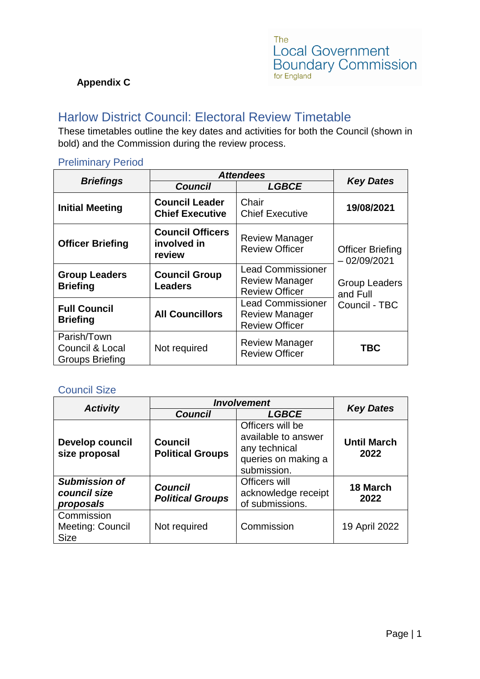#### **Appendix C**

# Harlow District Council: Electoral Review Timetable

These timetables outline the key dates and activities for both the Council (shown in bold) and the Commission during the review process.

#### *Briefings Attendees Key Dates Council LGBCE* **Initial Meeting Council Leader Chief Executive** Chair Chief Executive **19/08/2021 Officer Briefing Council Officers involved in review** Review Manager Review Officer | Officer Briefing – 02/09/2021 Group Leaders and Full Council - TBC **Group Leaders Briefing Council Group Leaders** Lead Commissioner Review Manager Review Officer **Full Council Briefing All Councillors** Lead Commissioner Review Manager Review Officer Parish/Town Council & Local Groups Briefing Not required Review Manager Review Officer **TBC**

#### Preliminary Period

### Council Size

|                                                   | <b>Involvement</b>                        |                                                                                                |                            |  |
|---------------------------------------------------|-------------------------------------------|------------------------------------------------------------------------------------------------|----------------------------|--|
| <b>Activity</b>                                   | <b>Council</b>                            | <b>LGBCE</b>                                                                                   | <b>Key Dates</b>           |  |
| Develop council<br>size proposal                  | <b>Council</b><br><b>Political Groups</b> | Officers will be<br>available to answer<br>any technical<br>queries on making a<br>submission. | <b>Until March</b><br>2022 |  |
| <b>Submission of</b><br>council size<br>proposals | <b>Council</b><br><b>Political Groups</b> | Officers will<br>acknowledge receipt<br>of submissions.                                        | 18 March<br>2022           |  |
| Commission<br>Meeting: Council<br><b>Size</b>     | Not required                              | Commission                                                                                     | 19 April 2022              |  |